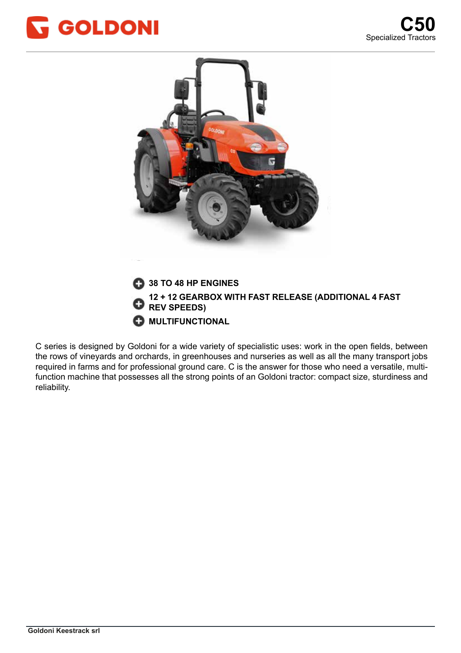





C series is designed by Goldoni for a wide variety of specialistic uses: work in the open fields, between the rows of vineyards and orchards, in greenhouses and nurseries as well as all the many transport jobs required in farms and for professional ground care. C is the answer for those who need a versatile, multifunction machine that possesses all the strong points of an Goldoni tractor: compact size, sturdiness and reliability. di forza delle trattrici Goldoni: compattezza nelle dimensioni, robustezza nelle dimensioni, robustezza e affi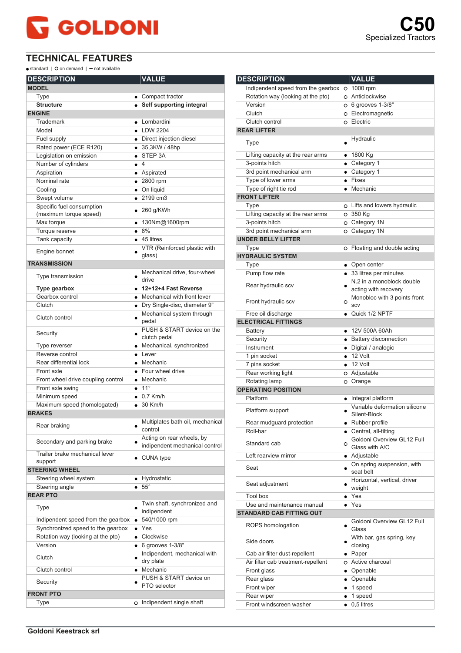## **GOLDONI**

## **TECHNICAL FEATURES**

 $\bullet$  standard |  $\bullet$  on demand |  $\bullet$  not available

| <b>DESCRIPTION</b>                     | <b>VALUE</b>                                                |
|----------------------------------------|-------------------------------------------------------------|
| <b>MODEL</b>                           |                                                             |
| Type                                   | • Compact tractor                                           |
| <b>Structure</b>                       | • Self supporting integral                                  |
| <b>ENGINE</b>                          |                                                             |
| Trademark                              | • Lombardini                                                |
| Model                                  | $\bullet$ LDW 2204                                          |
| Fuel supply                            | • Direct injection diesel                                   |
| Rated power (ECE R120)                 | • 35,3KW / 48hp                                             |
| Legislation on emission                | $\bullet$ STEP 3A                                           |
| Number of cylinders                    | $\bullet$ 4                                                 |
| Aspiration                             | • Aspirated                                                 |
| Nominal rate                           | $\bullet$ 2800 rpm                                          |
| Cooling                                | • On liquid                                                 |
| Swept volume                           | $\bullet$ 2199 cm3                                          |
| Specific fuel consumption              |                                                             |
| (maximum torque speed)                 | $\bullet$ 260 g/KWh                                         |
| Max torque                             | • 130Nm@1600rpm                                             |
| Torque reserve                         | 8%                                                          |
| Tank capacity                          | $\bullet$ 45 litres                                         |
|                                        | VTR (Reinforced plastic with                                |
| Engine bonnet                          | glass)                                                      |
| <b>TRANSMISSION</b>                    |                                                             |
| Type transmission                      | Mechanical drive, four-wheel<br>drive                       |
|                                        | • 12+12+4 Fast Reverse                                      |
| <b>Type gearbox</b><br>Gearbox control | • Mechanical with front lever                               |
| Clutch                                 | · Dry Single-disc, diameter 9"                              |
|                                        | Mechanical system through                                   |
| Clutch control                         | pedal                                                       |
| Security                               | PUSH & START device on the<br>clutch pedal                  |
| Type reverser                          | • Mechanical, synchronized                                  |
| Reverse control                        | $\bullet$ Lever                                             |
| Rear differential lock                 | • Mechanic                                                  |
| Front axle                             | • Four wheel drive                                          |
| Front wheel drive coupling control     | • Mechanic                                                  |
| Front axle swing                       | $\bullet$ 11°                                               |
| Minimum speed                          | $\bullet$ 0.7 Km/h                                          |
| Maximum speed (homologated)            | $\bullet$ 30 Km/h                                           |
| <b>BRAKES</b>                          |                                                             |
| Rear braking                           | Multiplates bath oil, mechanical<br>control                 |
| Secondary and parking brake            | Acting on rear wheels, by<br>indipendent mechanical control |
| Trailer brake mechanical lever         |                                                             |
| support                                | $\bullet$ CUNA type                                         |
| <b>STEERING WHEEL</b>                  |                                                             |
| Steering wheel system                  | Hydrostatic                                                 |
| Steering angle                         | $55^{\circ}$                                                |
| <b>REAR PTO</b>                        |                                                             |
| Type                                   | Twin shaft, synchronized and<br>indipendent                 |
| Indipendent speed from the gearbox     | 540/1000 rpm                                                |
| Synchronized speed to the gearbox      | $\bullet$ Yes                                               |
| Rotation way (looking at the pto)      | Clockwise<br>$\bullet$                                      |
| Version                                | $\bullet$ 6 grooves 1-3/8"                                  |
| Clutch                                 | Indipendent, mechanical with<br>dry plate                   |
| Clutch control                         | • Mechanic                                                  |
| Security                               | PUSH & START device on<br>PTO selector                      |
| <b>FRONT PTO</b>                       |                                                             |
| Type                                   | O Indipendent single shaft                                  |
|                                        |                                                             |

| <b>DESCRIPTION</b>                         |         | <b>VALUE</b>                                         |
|--------------------------------------------|---------|------------------------------------------------------|
| Indipendent speed from the gearbox         |         | $O$ 1000 rpm                                         |
| Rotation way (looking at the pto)          |         | O Anticlockwise                                      |
| Version                                    |         | $O$ 6 grooves 1-3/8"                                 |
| Clutch                                     |         | o Electromagnetic                                    |
| Clutch control                             |         | o Electric                                           |
| <b>REAR LIFTER</b>                         |         |                                                      |
|                                            |         | Hydraulic                                            |
| Type                                       |         |                                                      |
| Lifting capacity at the rear arms          |         | • 1800 $Kg$                                          |
| 3-points hitch                             |         | • Category 1                                         |
| 3rd point mechanical arm                   |         | $\bullet$ Category 1                                 |
| Type of lower arms                         |         | $\bullet$ Fixes                                      |
| Type of right tie rod                      |         | • Mechanic                                           |
| <b>FRONT LIFTER</b>                        |         |                                                      |
| Type                                       |         | o Lifts and lowers hydraulic                         |
| Lifting capacity at the rear arms          |         | O 350 Kg                                             |
| 3-points hitch                             |         | O Category 1N                                        |
| 3rd point mechanical arm                   |         | O Category 1N                                        |
| <b>UNDER BELLY LIFTER</b>                  |         |                                                      |
| Type                                       |         | O Floating and double acting                         |
| <b>HYDRAULIC SYSTEM</b>                    |         |                                                      |
| Type                                       |         | • Open center                                        |
| Pump flow rate                             |         | • 33 litres per minutes                              |
| Rear hydraulic scv                         |         | N.2 in a monoblock double                            |
|                                            |         | acting with recovery                                 |
| Front hydraulic scv                        | $\circ$ | Monobloc with 3 points front                         |
|                                            |         | SCV                                                  |
| Free oil discharge                         |         | • Quick 1/2 NPTF                                     |
| <b>ELECTRICAL FITTINGS</b>                 |         |                                                      |
| Battery                                    |         | • 12V 500A 60Ah                                      |
| Security                                   |         | • Battery disconnection                              |
| Instrument                                 |         | · Digital / analogic                                 |
| 1 pin socket                               |         | $\bullet$ 12 Volt                                    |
| 7 pins socket                              |         | $\bullet$ 12 Volt                                    |
| Rear working light                         |         | o Adjustable                                         |
| Rotating lamp<br><b>OPERATING POSITION</b> |         | O Orange                                             |
| Platform                                   |         |                                                      |
|                                            |         | • Integral platform<br>Variable deformation silicone |
| Platform support                           |         | Silent-Block                                         |
| Rear mudguard protection                   |         | $\bullet$ Rubber profile                             |
| Roll-bar                                   |         | • Central, all-tilting                               |
|                                            |         | Goldoni Overview GL12 Full                           |
| Standard cab                               | O       | Glass with A/C                                       |
| Left rearview mirror                       |         | • Adjustable                                         |
|                                            |         | On spring suspension, with                           |
| Seat                                       |         | seat belt                                            |
| Seat adjustment                            |         | Horizontal, vertical, driver                         |
|                                            |         | weight                                               |
| <b>Tool box</b>                            |         | $\bullet$ Yes                                        |
| Use and maintenance manual                 |         | $\bullet$ Yes                                        |
| <b>STANDARD CAB FITTING OUT</b>            |         |                                                      |
| ROPS homologation                          |         | Goldoni Overview GL12 Full                           |
|                                            |         | Glass                                                |
| Side doors                                 |         | With bar, gas spring, key<br>closing                 |
| Cab air filter dust-repellent              |         | • Paper                                              |
| Air filter cab treatment-repellent         |         | O Active charcoal                                    |
| Front glass                                |         | • Openable                                           |
| Rear glass                                 |         | • Openable                                           |
| Front wiper                                |         | $\bullet$ 1 speed                                    |
| Rear wiper                                 |         | $\bullet$ 1 speed                                    |
| Front windscreen washer                    |         | $\bullet$ 0,5 litres                                 |
|                                            |         |                                                      |